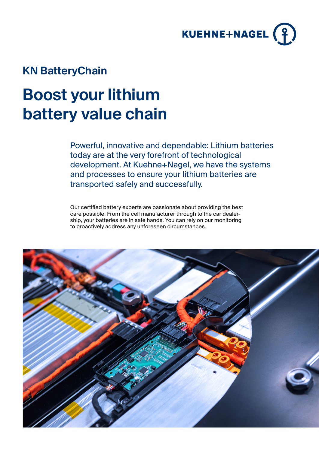

## **KN BatteryChain**

# **Boost your lithium battery value chain**

Powerful, innovative and dependable: Lithium batteries today are at the very forefront of technological development. At Kuehne+Nagel, we have the systems and processes to ensure your lithium batteries are transported safely and successfully.

Our certified battery experts are passionate about providing the best care possible. From the cell manufacturer through to the car dealership, your batteries are in safe hands. You can rely on our monitoring to proactively address any unforeseen circumstances.

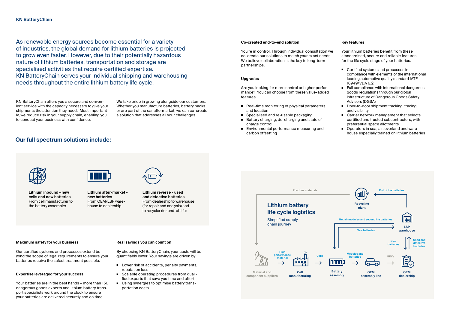### **KN BatteryChain**

KN BatteryChain offers you a secure and convenient service with the capacity necessary to give your shipments the attention they need. Most importantly, we reduce risk in your supply chain, enabling you to conduct your business with confidence.

#### **Real savings you can count on**

- Lower risk of accidents, penalty payments, reputation loss
- Scalable operating procedures from qualified experts that save you time and effort
- Using synergies to optimise battery transportation costs

By choosing KN BatteryChain, your costs will be quantifiably lower. Your savings are driven by:

We take pride in growing alongside our customers. Whether you manufacture batteries, battery packs or are part of the car aftermarket, we can co-create a solution that addresses all your challenges.

#### **Maximum safety for your business**

- Real-time monitoring of physical parameters and location
- Specialised and re-usable packaging
- Battery charging, de-charging and state of charge control
- Environmental performance measuring and carbon offsetting

Our certified systems and processes extend beyond the scope of legal requirements to ensure your batteries receive the safest treatment possible.

#### **Expertise leveraged for your success**

Your batteries are in the best hands – more than 150 dangerous goods experts and lithium battery transport specialists work around the clock to ensure your batteries are delivered securely and on time.

- Certified systems and processes in compliance with elements of the international leading automotive quality standard IATF 16949/VDA 6.2
- Full compliance with international dangerous goods regulations through our global infrastructure of Dangerous Goods Safety Advisors (DGSA)
- Door-to-door shipment tracking, tracing and visibility
- Carrier network management that selects certified and trusted subcontractors, with preferential space allotments
- Operators in sea, air, overland and warehouse especially trained on lithium batteries

#### **Co-created end-to-end solution**

You're in control. Through individual consultation we co-create our solutions to match your exact needs. We believe collaboration is the key to long-term partnerships.

#### **Upgrades**

Are you looking for more control or higher performance? You can choose from these value-added features.

#### **Key features**

Your lithium batteries benefit from these standardised, secure and reliable features – for the life cycle stage of your batteries.

As renewable energy sources become essential for a variety of industries, the global demand for lithium batteries is projected to grow even faster. However, due to their potentially hazardous nature of lithium batteries, transportation and storage are specialised activities that require certified expertise. KN BatteryChain serves your individual shipping and warehousing needs throughout the entire lithium battery life cycle.

## **Our full spectrum solutions include:**



**Lithium inbound - new cells and new batteries** From cell manufacturer to the battery assembler



**Lithium after-market new batteries** From OEM/LSP warehouse to dealership



**Lithium reverse - used and defective batteries** From dealership to warehouse (for repair and analysis) and to recycler (for end-of-life)